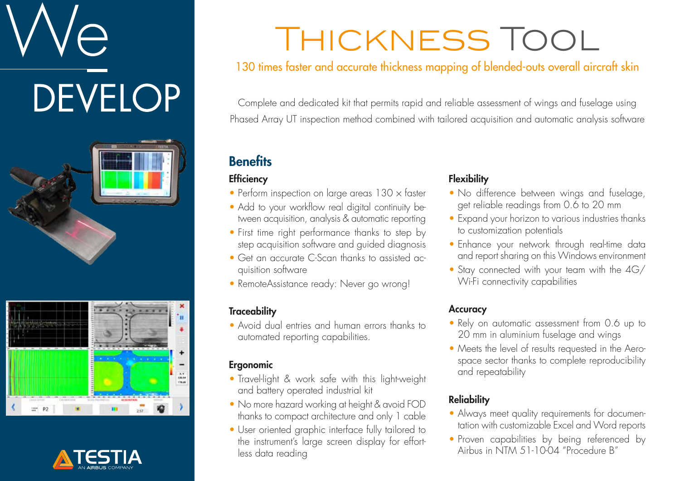# **DEVELOP**







## Thickness Tool

#### 130 times faster and accurate thickness mapping of blended-outs overall aircraft skin

Complete and dedicated kit that permits rapid and reliable assessment of wings and fuselage using Phased Array UT inspection method combined with tailored acquisition and automatic analysis software

#### **Benefits**

#### **Efficiency**

- Perform inspection on large areas  $130 \times$  faster
- Add to your workflow real digital continuity between acquisition, analysis & automatic reporting
- First time right performance thanks to step by step acquisition software and guided diagnosis
- Get an accurate C-Scan thanks to assisted acquisition software
- RemoteAssistance ready: Never go wrong!

#### **Traceability**

• Avoid dual entries and human errors thanks to automated reporting capabilities.

#### Ergonomic

- Travel-light & work safe with this light-weight and battery operated industrial kit
- No more hazard working at height & avoid FOD thanks to compact architecture and only 1 cable
- User oriented graphic interface fully tailored to the instrument's large screen display for effortless data reading

#### **Flexibility**

- No difference between wings and fuselage, get reliable readings from 0.6 to 20 mm
- Expand your horizon to various industries thanks to customization potentials
- Enhance your network through real-time data and report sharing on this Windows environment
- Stay connected with your team with the 4G/ Wi-Fi connectivity capabilities

#### **Accuracy**

- Rely on automatic assessment from 0.6 up to 20 mm in aluminium fuselage and wings
- Meets the level of results requested in the Aerospace sector thanks to complete reproducibility and repeatability

#### **Reliability**

- Always meet quality requirements for documentation with customizable Excel and Word reports
- Proven capabilities by being referenced by Airbus in NTM 51-10-04 "Procedure B"